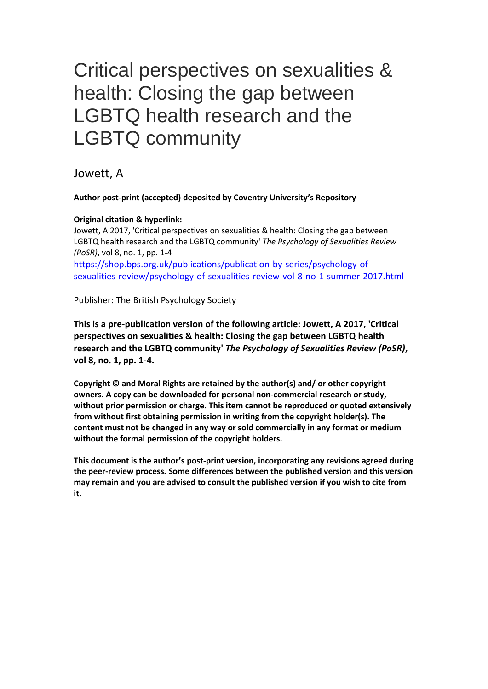# Critical perspectives on sexualities & health: Closing the gap between LGBTQ health research and the LGBTQ community

Jowett, A

### **Author post-print (accepted) deposited by Coventry University's Repository**

### **Original citation & hyperlink:**

Jowett, A 2017, 'Critical perspectives on sexualities & health: Closing the gap between LGBTQ health research and the LGBTQ community' *The Psychology of Sexualities Review (PoSR)*, vol 8, no. 1, pp. 1-4 [https://shop.bps.org.uk/publications/publication-by-series/psychology-of](https://shop.bps.org.uk/publications/publication-by-series/psychology-of-sexualities-review/psychology-of-sexualities-review-vol-8-no-1-summer-2017.html)[sexualities-review/psychology-of-sexualities-review-vol-8-no-1-summer-2017.html](https://shop.bps.org.uk/publications/publication-by-series/psychology-of-sexualities-review/psychology-of-sexualities-review-vol-8-no-1-summer-2017.html)

Publisher: The British Psychology Society

**This is a pre-publication version of the following article: Jowett, A 2017, 'Critical perspectives on sexualities & health: Closing the gap between LGBTQ health research and the LGBTQ community'** *The Psychology of Sexualities Review (PoSR)***, vol 8, no. 1, pp. 1-4.**

**Copyright © and Moral Rights are retained by the author(s) and/ or other copyright owners. A copy can be downloaded for personal non-commercial research or study, without prior permission or charge. This item cannot be reproduced or quoted extensively from without first obtaining permission in writing from the copyright holder(s). The content must not be changed in any way or sold commercially in any format or medium without the formal permission of the copyright holders.** 

**This document is the author's post-print version, incorporating any revisions agreed during the peer-review process. Some differences between the published version and this version may remain and you are advised to consult the published version if you wish to cite from it.**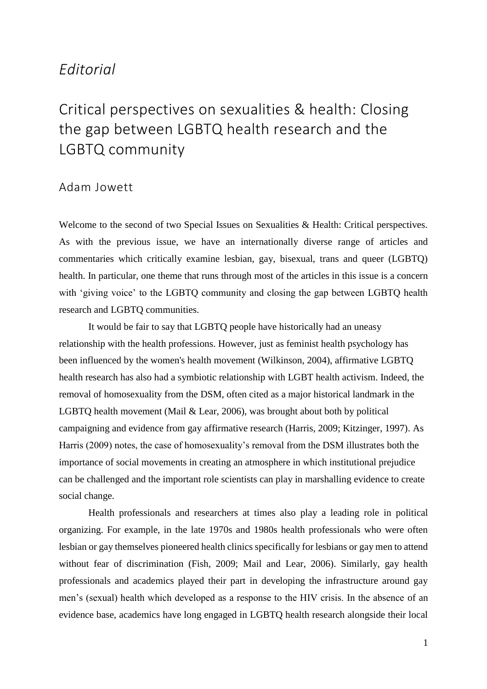### *Editorial*

## Critical perspectives on sexualities & health: Closing the gap between LGBTQ health research and the LGBTQ community

### Adam Jowett

Welcome to the second of two Special Issues on Sexualities & Health: Critical perspectives. As with the previous issue, we have an internationally diverse range of articles and commentaries which critically examine lesbian, gay, bisexual, trans and queer (LGBTQ) health. In particular, one theme that runs through most of the articles in this issue is a concern with 'giving voice' to the LGBTQ community and closing the gap between LGBTQ health research and LGBTQ communities.

It would be fair to say that LGBTQ people have historically had an uneasy relationship with the health professions. However, just as feminist health psychology has been influenced by the women's health movement (Wilkinson, 2004), affirmative LGBTQ health research has also had a symbiotic relationship with LGBT health activism. Indeed, the removal of homosexuality from the DSM, often cited as a major historical landmark in the LGBTQ health movement (Mail & Lear, 2006), was brought about both by political campaigning and evidence from gay affirmative research (Harris, 2009; Kitzinger, 1997). As Harris (2009) notes, the case of homosexuality's removal from the DSM illustrates both the importance of social movements in creating an atmosphere in which institutional prejudice can be challenged and the important role scientists can play in marshalling evidence to create social change.

Health professionals and researchers at times also play a leading role in political organizing. For example, in the late 1970s and 1980s health professionals who were often lesbian or gay themselves pioneered health clinics specifically for lesbians or gay men to attend without fear of discrimination (Fish, 2009; Mail and Lear, 2006). Similarly, gay health professionals and academics played their part in developing the infrastructure around gay men's (sexual) health which developed as a response to the HIV crisis. In the absence of an evidence base, academics have long engaged in LGBTQ health research alongside their local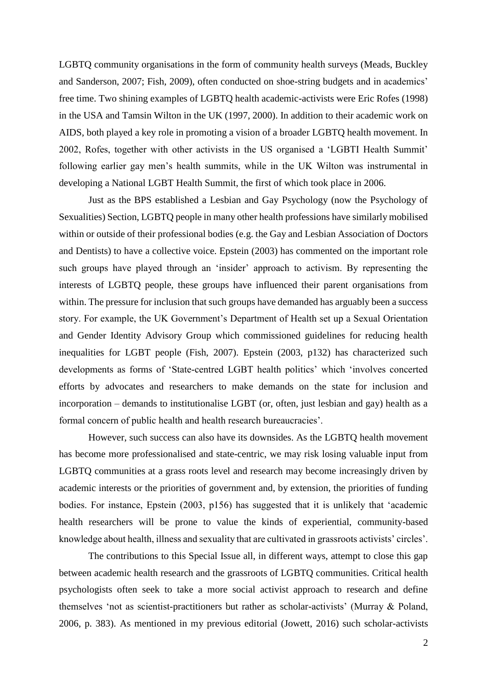LGBTQ community organisations in the form of community health surveys (Meads, Buckley and Sanderson, 2007; Fish, 2009), often conducted on shoe-string budgets and in academics' free time. Two shining examples of LGBTQ health academic-activists were Eric Rofes (1998) in the USA and Tamsin Wilton in the UK (1997, 2000). In addition to their academic work on AIDS, both played a key role in promoting a vision of a broader LGBTQ health movement. In 2002, Rofes, together with other activists in the US organised a 'LGBTI Health Summit' following earlier gay men's health summits, while in the UK Wilton was instrumental in developing a National LGBT Health Summit, the first of which took place in 2006.

Just as the BPS established a Lesbian and Gay Psychology (now the Psychology of Sexualities) Section, LGBTQ people in many other health professions have similarly mobilised within or outside of their professional bodies (e.g. the Gay and Lesbian Association of Doctors and Dentists) to have a collective voice. Epstein (2003) has commented on the important role such groups have played through an 'insider' approach to activism. By representing the interests of LGBTQ people, these groups have influenced their parent organisations from within. The pressure for inclusion that such groups have demanded has arguably been a success story. For example, the UK Government's Department of Health set up a Sexual Orientation and Gender Identity Advisory Group which commissioned guidelines for reducing health inequalities for LGBT people (Fish, 2007). Epstein (2003, p132) has characterized such developments as forms of 'State-centred LGBT health politics' which 'involves concerted efforts by advocates and researchers to make demands on the state for inclusion and incorporation – demands to institutionalise LGBT (or, often, just lesbian and gay) health as a formal concern of public health and health research bureaucracies'.

However, such success can also have its downsides. As the LGBTQ health movement has become more professionalised and state-centric, we may risk losing valuable input from LGBTQ communities at a grass roots level and research may become increasingly driven by academic interests or the priorities of government and, by extension, the priorities of funding bodies. For instance, Epstein (2003, p156) has suggested that it is unlikely that 'academic health researchers will be prone to value the kinds of experiential, community-based knowledge about health, illness and sexuality that are cultivated in grassroots activists' circles'.

The contributions to this Special Issue all, in different ways, attempt to close this gap between academic health research and the grassroots of LGBTQ communities. Critical health psychologists often seek to take a more social activist approach to research and define themselves 'not as scientist-practitioners but rather as scholar-activists' (Murray & Poland, 2006, p. 383). As mentioned in my previous editorial (Jowett, 2016) such scholar-activists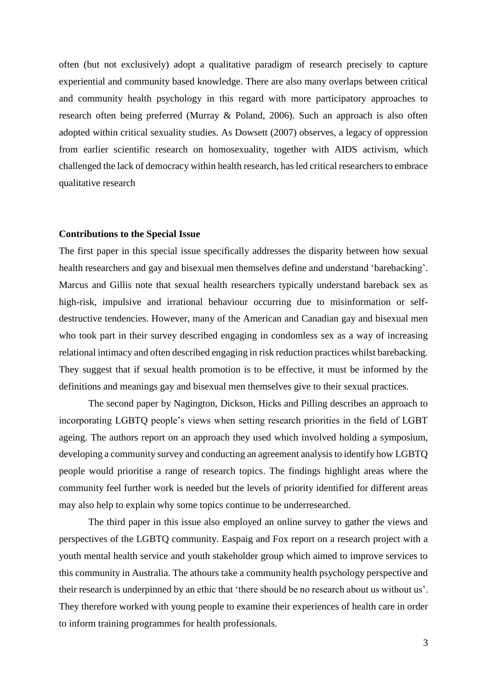often (but not exclusively) adopt a qualitative paradigm of research precisely to capture experiential and community based knowledge. There are also many overlaps between critical and community health psychology in this regard with more participatory approaches to research often being preferred (Murray & Poland, 2006). Such an approach is also often adopted within critical sexuality studies. As Dowsett (2007) observes, a legacy of oppression from earlier scientific research on homosexuality, together with AIDS activism, which challenged the lack of democracy within health research, has led critical researchers to embrace qualitative research

### **Contributions to the Special Issue**

The first paper in this special issue specifically addresses the disparity between how sexual health researchers and gay and bisexual men themselves define and understand 'barebacking'. Marcus and Gillis note that sexual health researchers typically understand bareback sex as high-risk, impulsive and irrational behaviour occurring due to misinformation or selfdestructive tendencies. However, many of the American and Canadian gay and bisexual men who took part in their survey described engaging in condomless sex as a way of increasing relational intimacy and often described engaging in risk reduction practices whilst barebacking. They suggest that if sexual health promotion is to be effective, it must be informed by the definitions and meanings gay and bisexual men themselves give to their sexual practices.

The second paper by Nagington, Dickson, Hicks and Pilling describes an approach to incorporating LGBTQ people's views when setting research priorities in the field of LGBT ageing. The authors report on an approach they used which involved holding a symposium, developing a community survey and conducting an agreement analysis to identify how LGBTQ people would prioritise a range of research topics. The findings highlight areas where the community feel further work is needed but the levels of priority identified for different areas may also help to explain why some topics continue to be underresearched.

The third paper in this issue also employed an online survey to gather the views and perspectives of the LGBTQ community. Easpaig and Fox report on a research project with a youth mental health service and youth stakeholder group which aimed to improve services to this community in Australia. The athours take a community health psychology perspective and their research is underpinned by an ethic that 'there should be no research about us without us'. They therefore worked with young people to examine their experiences of health care in order to inform training programmes for health professionals.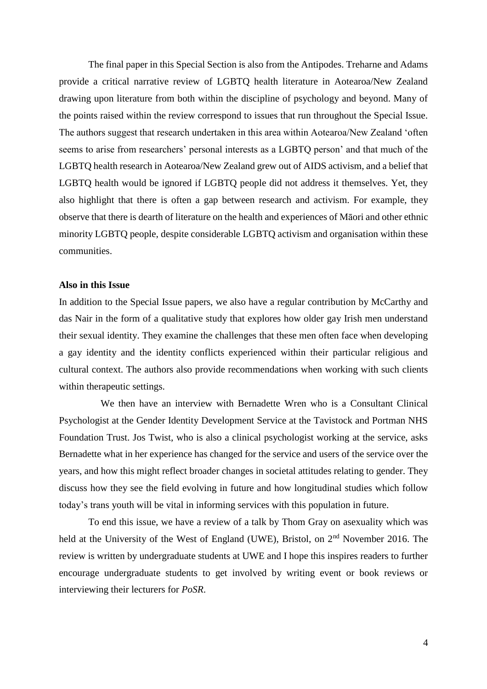The final paper in this Special Section is also from the Antipodes. Treharne and Adams provide a critical narrative review of LGBTQ health literature in Aotearoa/New Zealand drawing upon literature from both within the discipline of psychology and beyond. Many of the points raised within the review correspond to issues that run throughout the Special Issue. The authors suggest that research undertaken in this area within Aotearoa/New Zealand 'often seems to arise from researchers' personal interests as a LGBTQ person' and that much of the LGBTQ health research in Aotearoa/New Zealand grew out of AIDS activism, and a belief that LGBTQ health would be ignored if LGBTQ people did not address it themselves. Yet, they also highlight that there is often a gap between research and activism. For example, they observe that there is dearth of literature on the health and experiences of Māori and other ethnic minority LGBTQ people, despite considerable LGBTQ activism and organisation within these communities.

#### **Also in this Issue**

In addition to the Special Issue papers, we also have a regular contribution by McCarthy and das Nair in the form of a qualitative study that explores how older gay Irish men understand their sexual identity. They examine the challenges that these men often face when developing a gay identity and the identity conflicts experienced within their particular religious and cultural context. The authors also provide recommendations when working with such clients within therapeutic settings.

 We then have an interview with Bernadette Wren who is a Consultant Clinical Psychologist at the Gender Identity Development Service at the Tavistock and Portman NHS Foundation Trust. Jos Twist, who is also a clinical psychologist working at the service, asks Bernadette what in her experience has changed for the service and users of the service over the years, and how this might reflect broader changes in societal attitudes relating to gender. They discuss how they see the field evolving in future and how longitudinal studies which follow today's trans youth will be vital in informing services with this population in future.

To end this issue, we have a review of a talk by Thom Gray on asexuality which was held at the University of the West of England (UWE), Bristol, on 2<sup>nd</sup> November 2016. The review is written by undergraduate students at UWE and I hope this inspires readers to further encourage undergraduate students to get involved by writing event or book reviews or interviewing their lecturers for *PoSR*.